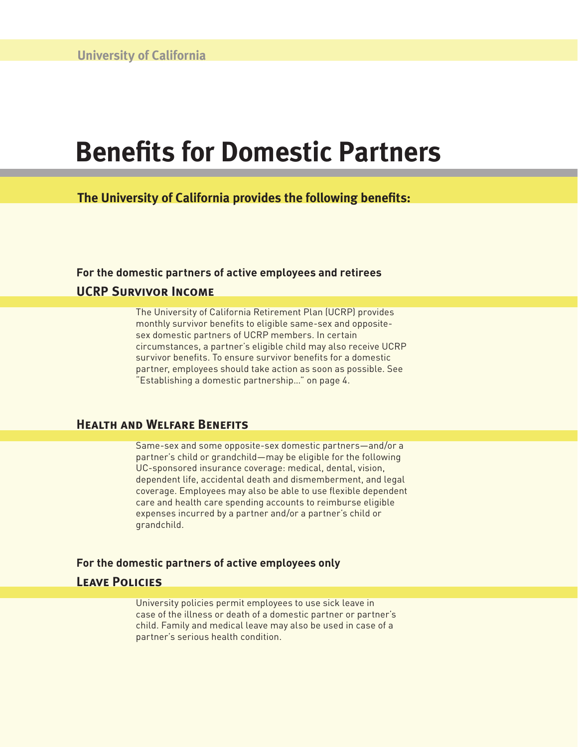# **Benefits for Domestic Partners**

**The University of California provides the following benefits:** 

## **For the domestic partners of active employees and retirees UCRP Survivor Income**

The University of California Retirement Plan (UCRP) provides monthly survivor benefits to eligible same-sex and oppositesex domestic partners of UCRP members. In certain circumstances, a partner's eligible child may also receive UCRP survivor benefits. To ensure survivor benefits for a domestic partner, employees should take action as soon as possible. See "Establishing a domestic partnership…" on page 4.

### **Health and Welfare Benefits**

Same-sex and some opposite-sex domestic partners—and/or a partner's child or grandchild—may be eligible for the following UC-sponsored insurance coverage: medical, dental, vision, dependent life, accidental death and dismemberment, and legal coverage. Employees may also be able to use flexible dependent care and health care spending accounts to reimburse eligible expenses incurred by a partner and/or a partner's child or grandchild.

#### **For the domestic partners of active employees only**

### **Leave Policies**

University policies permit employees to use sick leave in case of the illness or death of a domestic partner or partner's child. Family and medical leave may also be used in case of a partner's serious health condition.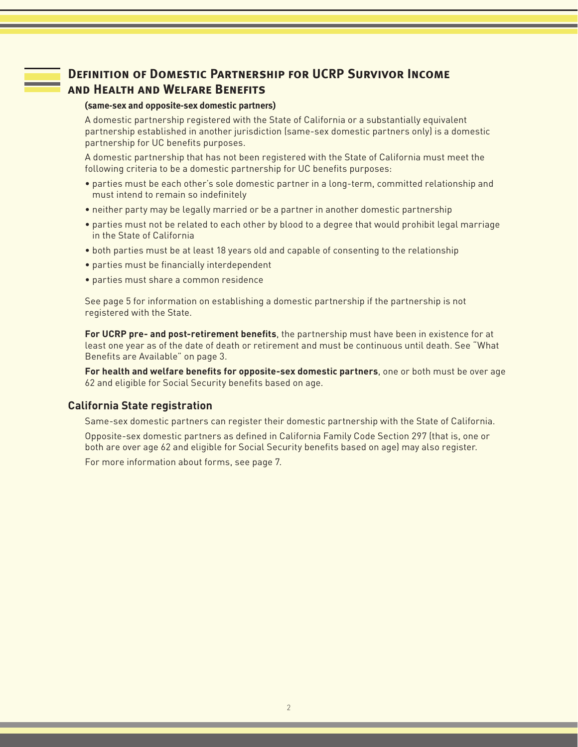### **Definition of Domestic Partnership for UCRP Survivor Income and Health and Welfare Benefits**

#### **(same-sex and opposite-sex domestic partners)**

A domestic partnership registered with the State of California or a substantially equivalent partnership established in another jurisdiction (same-sex domestic partners only) is a domestic partnership for UC benefits purposes.

A domestic partnership that has not been registered with the State of California must meet the following criteria to be a domestic partnership for UC benefits purposes:

- parties must be each other's sole domestic partner in a long-term, committed relationship and must intend to remain so indefinitely
- neither party may be legally married or be a partner in another domestic partnership
- parties must not be related to each other by blood to a degree that would prohibit legal marriage in the State of California
- both parties must be at least 18 years old and capable of consenting to the relationship
- parties must be financially interdependent
- parties must share a common residence

See page 5 for information on establishing a domestic partnership if the partnership is not registered with the State.

**For UCRP pre- and post-retirement benefits**, the partnership must have been in existence for at least one year as of the date of death or retirement and must be continuous until death. See "What Benefits are Available" on page 3.

**For health and welfare benefits for opposite-sex domestic partners**, one or both must be over age 62 and eligible for Social Security benefits based on age.

#### **California State registration**

Same-sex domestic partners can register their domestic partnership with the State of California.

Opposite-sex domestic partners as defined in California Family Code Section 297 (that is, one or both are over age 62 and eligible for Social Security benefits based on age) may also register.

For more information about forms, see page 7.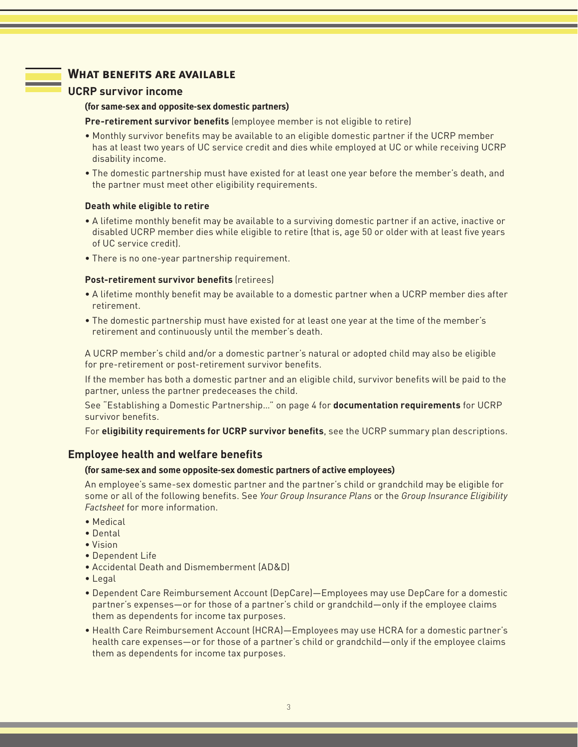### **What benefits are available**

#### **UCRP survivor income**

#### **(for same-sex and opposite-sex domestic partners)**

**Pre-retirement survivor benefits** (employee member is not eligible to retire)

- Monthly survivor benefits may be available to an eligible domestic partner if the UCRP member has at least two years of UC service credit and dies while employed at UC or while receiving UCRP disability income.
- The domestic partnership must have existed for at least one year before the member's death, and the partner must meet other eligibility requirements.

#### **Death while eligible to retire**

- A lifetime monthly benefit may be available to a surviving domestic partner if an active, inactive or disabled UCRP member dies while eligible to retire (that is, age 50 or older with at least five years of UC service credit).
- There is no one-year partnership requirement.

#### **Post-retirement survivor benefits** (retirees)

- A lifetime monthly benefit may be available to a domestic partner when a UCRP member dies after retirement.
- The domestic partnership must have existed for at least one year at the time of the member's retirement and continuously until the member's death.

A UCRP member's child and/or a domestic partner's natural or adopted child may also be eligible for pre-retirement or post-retirement survivor benefits.

If the member has both a domestic partner and an eligible child, survivor benefits will be paid to the partner, unless the partner predeceases the child.

See "Establishing a Domestic Partnership…" on page 4 for **documentation requirements** for UCRP survivor benefits.

For **eligibility requirements for UCRP survivor benefits**, see the UCRP summary plan descriptions.

#### **Employee health and welfare benefits**

#### **(for same-sex and some opposite-sex domestic partners of active employees)**

An employee's same-sex domestic partner and the partner's child or grandchild may be eligible for some or all of the following benefits. See *Your Group Insurance Plans* or the *Group Insurance Eligibility Factsheet* for more information.

- Medical
- Dental
- Vision
- Dependent Life
- Accidental Death and Dismemberment (AD&D)
- Legal
- Dependent Care Reimbursement Account (DepCare)—Employees may use DepCare for a domestic partner's expenses—or for those of a partner's child or grandchild—only if the employee claims them as dependents for income tax purposes.
- Health Care Reimbursement Account (HCRA)—Employees may use HCRA for a domestic partner's health care expenses—or for those of a partner's child or grandchild—only if the employee claims them as dependents for income tax purposes.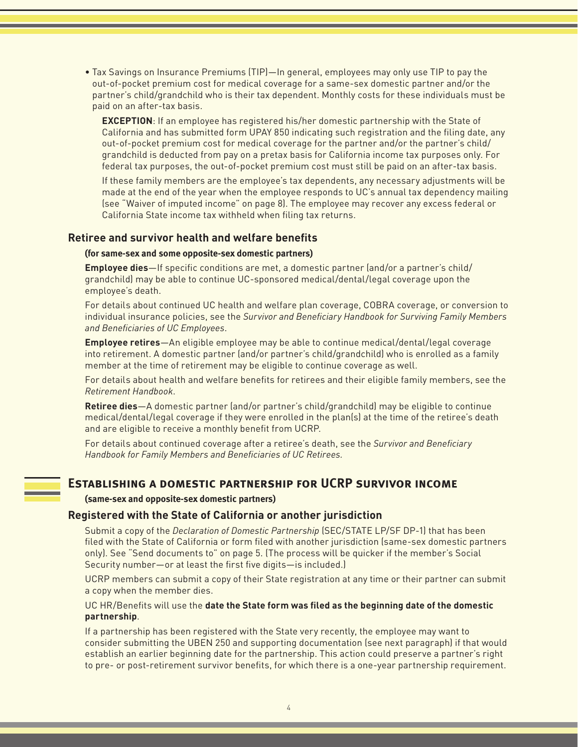- Tax Savings on Insurance Premiums (TIP)—In general, employees may only use TIP to pay the out-of-pocket premium cost for medical coverage for a same-sex domestic partner and/or the partner's child/grandchild who is their tax dependent. Monthly costs for these individuals must be paid on an after-tax basis.
	- **EXCEPTION**: If an employee has registered his/her domestic partnership with the State of California and has submitted form UPAY 850 indicating such registration and the filing date, any out-of-pocket premium cost for medical coverage for the partner and/or the partner's child/ grandchild is deducted from pay on a pretax basis for California income tax purposes only. For federal tax purposes, the out-of-pocket premium cost must still be paid on an after-tax basis.

If these family members are the employee's tax dependents, any necessary adjustments will be made at the end of the year when the employee responds to UC's annual tax dependency mailing (see "Waiver of imputed income" on page 8). The employee may recover any excess federal or California State income tax withheld when filing tax returns.

#### **Retiree and survivor health and welfare benefits**

#### **(for same-sex and some opposite-sex domestic partners)**

**Employee dies**—If specific conditions are met, a domestic partner (and/or a partner's child/ grandchild) may be able to continue UC-sponsored medical/dental/legal coverage upon the employee's death.

For details about continued UC health and welfare plan coverage, COBRA coverage, or conversion to individual insurance policies, see the *Survivor and Beneficiary Handbook for Surviving Family Members and Beneficiaries of UC Employees*.

**Employee retires**—An eligible employee may be able to continue medical/dental/legal coverage into retirement. A domestic partner (and/or partner's child/grandchild) who is enrolled as a family member at the time of retirement may be eligible to continue coverage as well.

For details about health and welfare benefits for retirees and their eligible family members, see the *Retirement Handbook*.

**Retiree dies**—A domestic partner (and/or partner's child/grandchild) may be eligible to continue medical/dental/legal coverage if they were enrolled in the plan(s) at the time of the retiree's death and are eligible to receive a monthly benefit from UCRP.

For details about continued coverage after a retiree's death, see the *Survivor and Beneficiary Handbook for Family Members and Beneficiaries of UC Retirees.*

### **Establishing a domestic partnership for UCRP survivor income**

**(same-sex and opposite-sex domestic partners)**

#### **Registered with the State of California or another jurisdiction**

Submit a copy of the *Declaration of Domestic Partnership* (SEC/STATE LP/SF DP-1) that has been filed with the State of California or form filed with another jurisdiction (same-sex domestic partners only). See "Send documents to" on page 5. (The process will be quicker if the member's Social Security number—or at least the first five digits—is included.)

UCRP members can submit a copy of their State registration at any time or their partner can submit a copy when the member dies.

#### UC HR/Benefits will use the **date the State form was filed as the beginning date of the domestic partnership**.

If a partnership has been registered with the State very recently, the employee may want to consider submitting the UBEN 250 and supporting documentation (see next paragraph) if that would establish an earlier beginning date for the partnership. This action could preserve a partner's right to pre- or post-retirement survivor benefits, for which there is a one-year partnership requirement.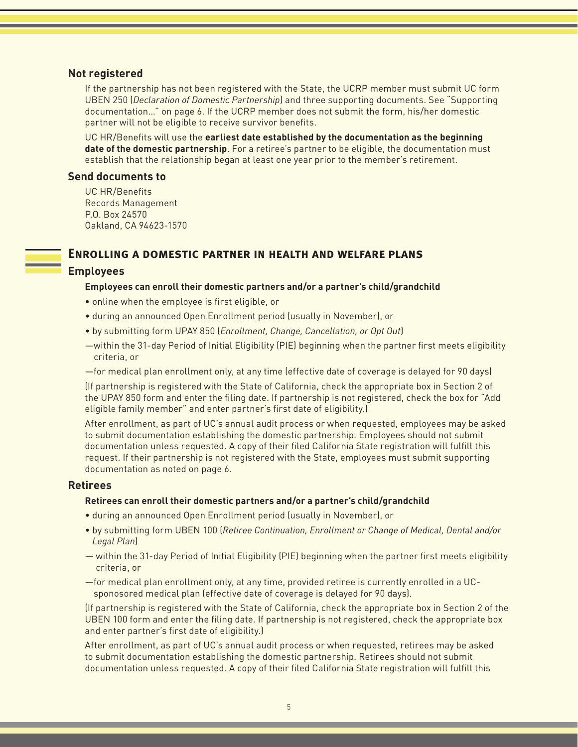#### **Not registered**

If the partnership has not been registered with the State, the UCRP member must submit UC form UBEN 250 (*Declaration of Domestic Partnership*) and three supporting documents. See "Supporting documentation…" on page 6. If the UCRP member does not submit the form, his/her domestic partner will not be eligible to receive survivor benefits.

UC HR/Benefits will use the **earliest date established by the documentation as the beginning date of the domestic partnership**. For a retiree's partner to be eligible, the documentation must establish that the relationship began at least one year prior to the member's retirement.

#### **Send documents to**

UC HR/Benefits Records Management P.O. Box 24570 Oakland, CA 94623-1570

#### **Enrolling a domestic partner in health and welfare plans**

#### **Employees**

#### **Employees can enroll their domestic partners and/or a partner's child/grandchild**

- online when the employee is first eligible, or
- during an announced Open Enrollment period (usually in November), or
- by submitting form UPAY 850 (*Enrollment, Change, Cancellation, or Opt Out*)
- —within the 31-day Period of Initial Eligibility (PIE) beginning when the partner first meets eligibility criteria, or
- —for medical plan enrollment only, at any time (effective date of coverage is delayed for 90 days)

(If partnership is registered with the State of California, check the appropriate box in Section 2 of the UPAY 850 form and enter the filing date. If partnership is not registered, check the box for "Add eligible family member" and enter partner's first date of eligibility.)

After enrollment, as part of UC's annual audit process or when requested, employees may be asked to submit documentation establishing the domestic partnership. Employees should not submit documentation unless requested. A copy of their filed California State registration will fulfill this request. If their partnership is not registered with the State, employees must submit supporting documentation as noted on page 6.

#### **Retirees**

#### **Retirees can enroll their domestic partners and/or a partner's child/grandchild**

- during an announced Open Enrollment period (usually in November), or
- by submitting form UBEN 100 (*Retiree Continuation, Enrollment or Change of Medical, Dental and/or Legal Plan*)
- within the 31-day Period of Initial Eligibility (PIE) beginning when the partner first meets eligibility criteria, or
- —for medical plan enrollment only, at any time, provided retiree is currently enrolled in a UCsponosored medical plan (effective date of coverage is delayed for 90 days).

(If partnership is registered with the State of California, check the appropriate box in Section 2 of the UBEN 100 form and enter the filing date. If partnership is not registered, check the appropriate box and enter partner's first date of eligibility.)

After enrollment, as part of UC's annual audit process or when requested, retirees may be asked to submit documentation establishing the domestic partnership. Retirees should not submit documentation unless requested. A copy of their filed California State registration will fulfill this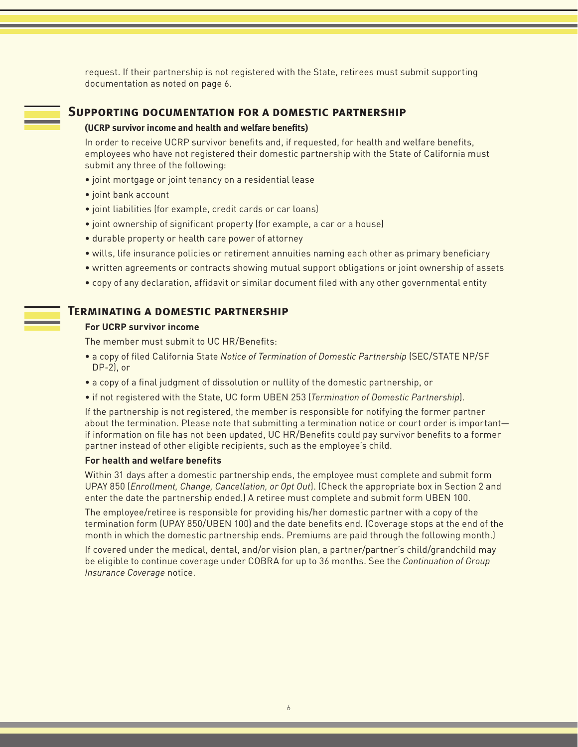request. If their partnership is not registered with the State, retirees must submit supporting documentation as noted on page 6.

#### **Supporting documentation for a domestic partnership**

#### **(UCRP survivor income and health and welfare benefits)**

In order to receive UCRP survivor benefits and, if requested, for health and welfare benefits, employees who have not registered their domestic partnership with the State of California must submit any three of the following:

- joint mortgage or joint tenancy on a residential lease
- joint bank account
- joint liabilities (for example, credit cards or car loans)
- joint ownership of significant property (for example, a car or a house)
- durable property or health care power of attorney
- wills, life insurance policies or retirement annuities naming each other as primary beneficiary
- written agreements or contracts showing mutual support obligations or joint ownership of assets
- copy of any declaration, affidavit or similar document filed with any other governmental entity

#### **Terminating a domestic partnership**

#### **For UCRP survivor income**

The member must submit to UC HR/Benefits:

- a copy of filed California State *Notice of Termination of Domestic Partnership* (SEC/STATE NP/SF DP-2), or
- a copy of a final judgment of dissolution or nullity of the domestic partnership, or
- if not registered with the State, UC form UBEN 253 (*Termination of Domestic Partnership*).

If the partnership is not registered, the member is responsible for notifying the former partner about the termination. Please note that submitting a termination notice or court order is important if information on file has not been updated, UC HR/Benefits could pay survivor benefits to a former partner instead of other eligible recipients, such as the employee's child.

#### **For health and welfare benefits**

Within 31 days after a domestic partnership ends, the employee must complete and submit form UPAY 850 (*Enrollment, Change, Cancellation, or Opt Out*). (Check the appropriate box in Section 2 and enter the date the partnership ended.) A retiree must complete and submit form UBEN 100.

The employee/retiree is responsible for providing his/her domestic partner with a copy of the termination form (UPAY 850/UBEN 100) and the date benefits end. (Coverage stops at the end of the month in which the domestic partnership ends. Premiums are paid through the following month.)

If covered under the medical, dental, and/or vision plan, a partner/partner's child/grandchild may be eligible to continue coverage under COBRA for up to 36 months. See the *Continuation of Group Insurance Coverage* notice.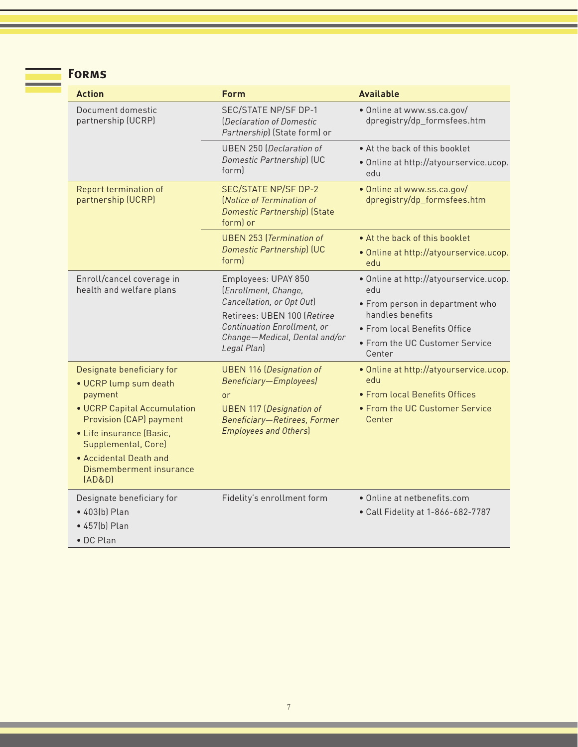| R M<br>u<br>Б |
|---------------|
|               |
|               |

| <b>Action</b>                                                                                                                                                                                                                                    | <b>Form</b>                                                                                                                                                                            | <b>Available</b>                                                                                                                                                                 |
|--------------------------------------------------------------------------------------------------------------------------------------------------------------------------------------------------------------------------------------------------|----------------------------------------------------------------------------------------------------------------------------------------------------------------------------------------|----------------------------------------------------------------------------------------------------------------------------------------------------------------------------------|
| Document domestic<br>partnership (UCRP)                                                                                                                                                                                                          | SEC/STATE NP/SF DP-1<br>(Declaration of Domestic<br>Partnership) (State form) or                                                                                                       | · Online at www.ss.ca.gov/<br>dpregistry/dp_formsfees.htm                                                                                                                        |
|                                                                                                                                                                                                                                                  | <b>UBEN 250 (Declaration of</b><br>Domestic Partnership) (UC<br>forml                                                                                                                  | • At the back of this booklet<br>· Online at http://atyourservice.ucop.<br>edu                                                                                                   |
| Report termination of<br>partnership (UCRP)                                                                                                                                                                                                      | <b>SEC/STATE NP/SF DP-2</b><br>(Notice of Termination of<br><b>Domestic Partnership) (State</b><br>form) or                                                                            | · Online at www.ss.ca.gov/<br>dpregistry/dp_formsfees.htm                                                                                                                        |
|                                                                                                                                                                                                                                                  | <b>UBEN 253 (Termination of</b><br>Domestic Partnership) (UC<br>form                                                                                                                   | • At the back of this booklet<br>. Online at http://atyourservice.ucop.<br>edu                                                                                                   |
| Enroll/cancel coverage in<br>health and welfare plans                                                                                                                                                                                            | Employees: UPAY 850<br>(Enrollment, Change,<br>Cancellation, or Opt Out)<br>Retirees: UBEN 100 (Retiree<br>Continuation Enrollment, or<br>Change-Medical, Dental and/or<br>Legal Plan) | · Online at http://atyourservice.ucop.<br>edu<br>• From person in department who<br>handles benefits<br>• From local Benefits Office<br>• From the UC Customer Service<br>Center |
| Designate beneficiary for<br>· UCRP lump sum death<br>payment<br>• UCRP Capital Accumulation<br><b>Provision (CAP) payment</b><br>• Life insurance (Basic,<br>Supplemental, Core)<br>• Accidental Death and<br>Dismemberment insurance<br>[AD&D] | <b>UBEN 116 (Designation of</b><br><b>Beneficiary-Employees)</b><br>or<br><b>UBEN 117 (Designation of</b><br>Beneficiary-Retirees, Former<br><b>Employees and Others)</b>              | . Online at http://atyourservice.ucop.<br>edu<br>• From local Benefits Offices<br>• From the UC Customer Service<br>Center                                                       |
| Designate beneficiary for<br>• 403(b) Plan<br>• 457(b) Plan<br>· DC Plan                                                                                                                                                                         | Fidelity's enrollment form                                                                                                                                                             | · Online at netbenefits.com<br>• Call Fidelity at 1-866-682-7787                                                                                                                 |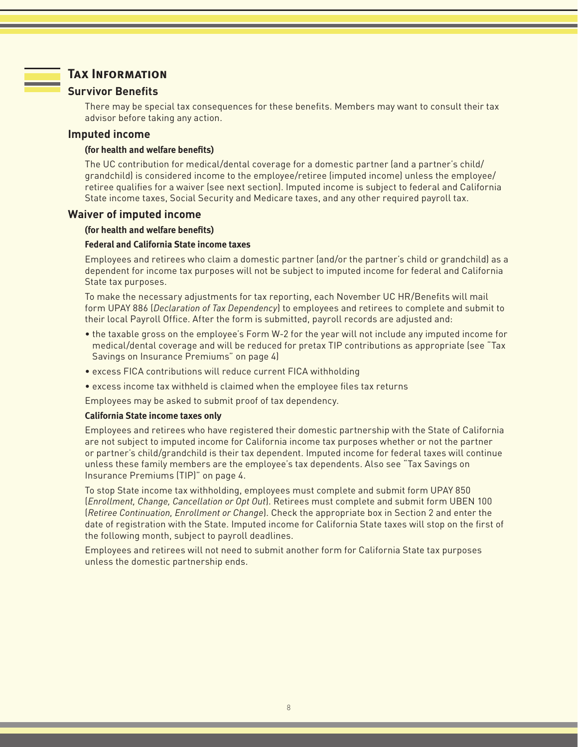### **Tax Information**

#### **Survivor Benefits**

There may be special tax consequences for these benefits. Members may want to consult their tax advisor before taking any action.

#### **Imputed income**

#### **(for health and welfare benefits)**

The UC contribution for medical/dental coverage for a domestic partner (and a partner's child/ grandchild) is considered income to the employee/retiree (imputed income) unless the employee/ retiree qualifies for a waiver (see next section). Imputed income is subject to federal and California State income taxes, Social Security and Medicare taxes, and any other required payroll tax.

#### **Waiver of imputed income**

#### **(for health and welfare benefits)**

#### **Federal and California State income taxes**

Employees and retirees who claim a domestic partner (and/or the partner's child or grandchild) as a dependent for income tax purposes will not be subject to imputed income for federal and California State tax purposes.

To make the necessary adjustments for tax reporting, each November UC HR/Benefits will mail form UPAY 886 (*Declaration of Tax Dependency*) to employees and retirees to complete and submit to their local Payroll Office. After the form is submitted, payroll records are adjusted and:

- the taxable gross on the employee's Form W-2 for the year will not include any imputed income for medical/dental coverage and will be reduced for pretax TIP contributions as appropriate (see "Tax Savings on Insurance Premiums" on page 4)
- excess FICA contributions will reduce current FICA withholding
- excess income tax withheld is claimed when the employee files tax returns

Employees may be asked to submit proof of tax dependency.

#### **California State income taxes only**

Employees and retirees who have registered their domestic partnership with the State of California are not subject to imputed income for California income tax purposes whether or not the partner or partner's child/grandchild is their tax dependent. Imputed income for federal taxes will continue unless these family members are the employee's tax dependents. Also see "Tax Savings on Insurance Premiums (TIP)" on page 4.

To stop State income tax withholding, employees must complete and submit form UPAY 850 (*Enrollment, Change, Cancellation or Opt Out*). Retirees must complete and submit form UBEN 100 (*Retiree Continuation, Enrollment or Change*). Check the appropriate box in Section 2 and enter the date of registration with the State. Imputed income for California State taxes will stop on the first of the following month, subject to payroll deadlines.

Employees and retirees will not need to submit another form for California State tax purposes unless the domestic partnership ends.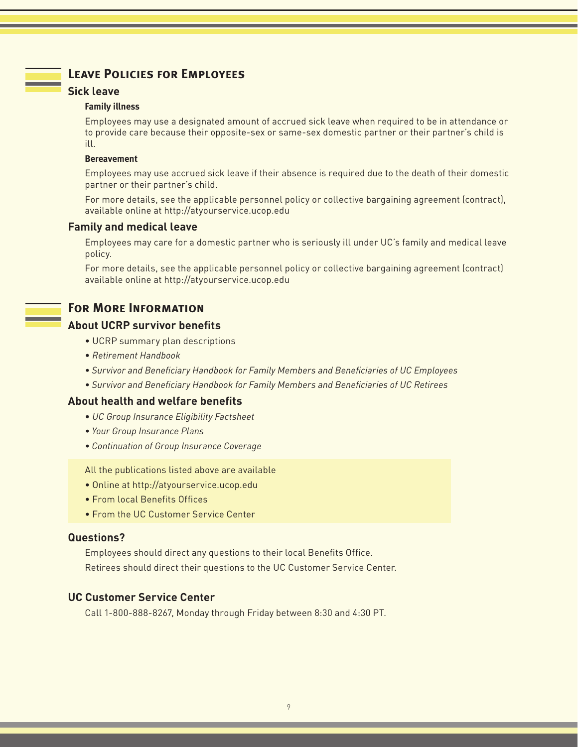### **Leave Policies for Employees**

### **Sick leave**

#### **Family illness**

Employees may use a designated amount of accrued sick leave when required to be in attendance or to provide care because their opposite-sex or same-sex domestic partner or their partner's child is ill.

### **Bereavement**

Employees may use accrued sick leave if their absence is required due to the death of their domestic partner or their partner's child.

For more details, see the applicable personnel policy or collective bargaining agreement (contract), available online at http://atyourservice.ucop.edu

### **Family and medical leave**

Employees may care for a domestic partner who is seriously ill under UC's family and medical leave policy.

For more details, see the applicable personnel policy or collective bargaining agreement (contract) available online at http://atyourservice.ucop.edu

### **For More Information**

### **About UCRP survivor benefits**

- UCRP summary plan descriptions
- *Retirement Handbook*
- *Survivor and Beneficiary Handbook for Family Members and Beneficiaries of UC Employees*
- *Survivor and Beneficiary Handbook for Family Members and Beneficiaries of UC Retirees*

### **About health and welfare benefits**

- *UC Group Insurance Eligibility Factsheet*
- *Your Group Insurance Plans*
- *Continuation of Group Insurance Coverage*

All the publications listed above are available

- Online at http://atyourservice.ucop.edu
- From local Benefits Offices
- From the UC Customer Service Center

### **Questions?**

Employees should direct any questions to their local Benefits Office. Retirees should direct their questions to the UC Customer Service Center.

### **UC Customer Service Center**

Call 1-800-888-8267, Monday through Friday between 8:30 and 4:30 PT.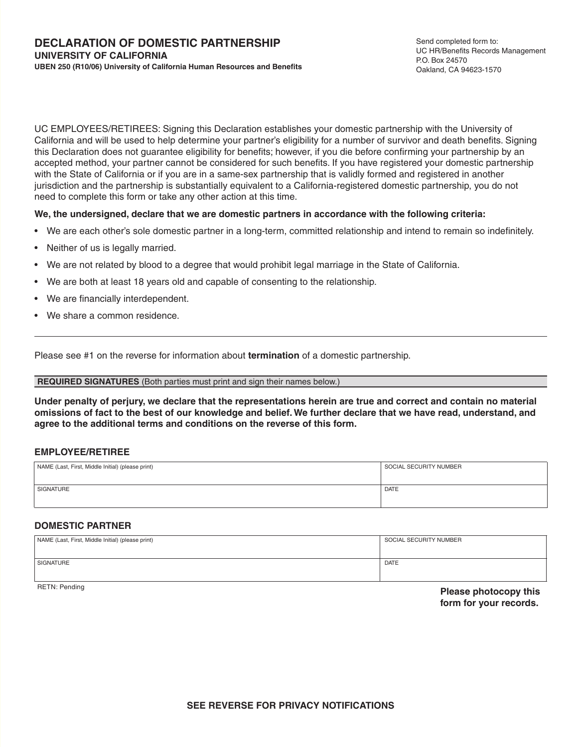UC EMPLOYEES/RETIREES: Signing this Declaration establishes your domestic partnership with the University of California and will be used to help determine your partner's eligibility for a number of survivor and death benefits. Signing this Declaration does not guarantee eligibility for benefits; however, if you die before confirming your partnership by an accepted method, your partner cannot be considered for such benefits. If you have registered your domestic partnership with the State of California or if you are in a same-sex partnership that is validly formed and registered in another jurisdiction and the partnership is substantially equivalent to a California-registered domestic partnership, you do not need to complete this form or take any other action at this time.

#### **We, the undersigned, declare that we are domestic partners in accordance with the following criteria:**

- We are each other's sole domestic partner in a long-term, committed relationship and intend to remain so indefinitely.
- Neither of us is legally married.
- We are not related by blood to a degree that would prohibit legal marriage in the State of California.
- We are both at least 18 years old and capable of consenting to the relationship.
- We are financially interdependent.
- We share a common residence.

Please see #1 on the reverse for information about **termination** of a domestic partnership.

#### **REQUIRED SIGNATURES** (Both parties must print and sign their names below.)

**Under penalty of perjury, we declare that the representations herein are true and correct and contain no material omissions of fact to the best of our knowledge and belief. We further declare that we have read, understand, and agree to the additional terms and conditions on the reverse of this form.**

#### **EMPLOYEE/RETIREE**

| NAME (Last, First, Middle Initial) (please print) | SOCIAL SECURITY NUMBER |
|---------------------------------------------------|------------------------|
| SIGNATURE                                         | <b>DATE</b>            |

#### **DOMESTIC PARTNER**

| NAME (Last, First, Middle Initial) (please print) | SOCIAL SECURITY NUMBER |
|---------------------------------------------------|------------------------|
|                                                   |                        |
| SIGNATURE                                         | <b>DATE</b>            |
|                                                   |                        |

RETN: Pending **Please photocopy this form for your records.**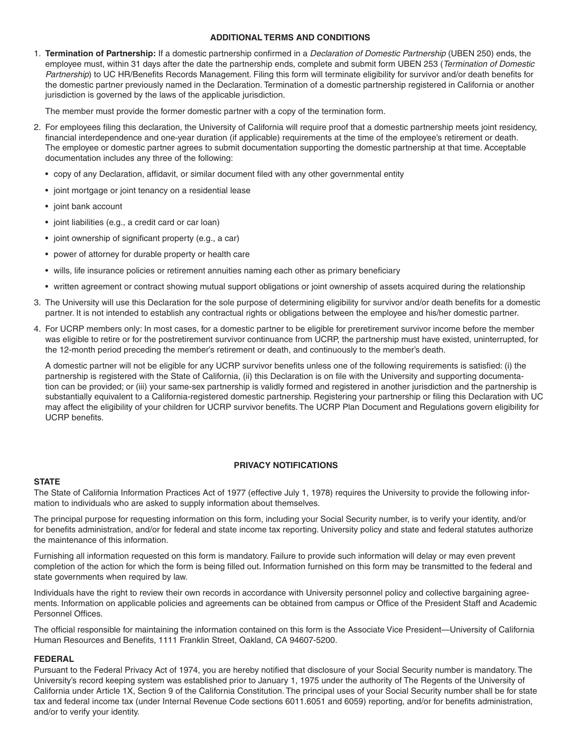#### **ADDITIONAL TERMS AND CONDITIONS**

1. **Termination of Partnership:** If a domestic partnership confirmed in a *Declaration of Domestic Partnership* (UBEN 250) ends, the employee must, within 31 days after the date the partnership ends, complete and submit form UBEN 253 (*Termination of Domestic Partnership*) to UC HR/Benefits Records Management. Filing this form will terminate eligibility for survivor and/or death benefits for the domestic partner previously named in the Declaration. Termination of a domestic partnership registered in California or another jurisdiction is governed by the laws of the applicable jurisdiction.

The member must provide the former domestic partner with a copy of the termination form.

- 2. For employees filing this declaration, the University of California will require proof that a domestic partnership meets joint residency, financial interdependence and one-year duration (if applicable) requirements at the time of the employee's retirement or death. The employee or domestic partner agrees to submit documentation supporting the domestic partnership at that time. Acceptable documentation includes any three of the following:
	- copy of any Declaration, affidavit, or similar document filed with any other governmental entity
	- joint mortgage or joint tenancy on a residential lease
	- joint bank account
	- joint liabilities (e.g., a credit card or car loan)
	- joint ownership of significant property (e.g., a car)
	- power of attorney for durable property or health care
	- wills, life insurance policies or retirement annuities naming each other as primary beneficiary
	- written agreement or contract showing mutual support obligations or joint ownership of assets acquired during the relationship
- 3. The University will use this Declaration for the sole purpose of determining eligibility for survivor and/or death benefits for a domestic partner. It is not intended to establish any contractual rights or obligations between the employee and his/her domestic partner.
- 4. For UCRP members only: In most cases, for a domestic partner to be eligible for preretirement survivor income before the member was eligible to retire or for the postretirement survivor continuance from UCRP, the partnership must have existed, uninterrupted, for the 12-month period preceding the member's retirement or death, and continuously to the member's death.

 A domestic partner will not be eligible for any UCRP survivor benefits unless one of the following requirements is satisfied: (i) the partnership is registered with the State of California, (ii) this Declaration is on file with the University and supporting documentation can be provided; or (iii) your same-sex partnership is validly formed and registered in another jurisdiction and the partnership is substantially equivalent to a California-registered domestic partnership. Registering your partnership or filing this Declaration with UC may affect the eligibility of your children for UCRP survivor benefits. The UCRP Plan Document and Regulations govern eligibility for UCRP benefits.

#### **PRIVACY NOTIFICATIONS**

#### **STATE**

The State of California Information Practices Act of 1977 (effective July 1, 1978) requires the University to provide the following information to individuals who are asked to supply information about themselves.

The principal purpose for requesting information on this form, including your Social Security number, is to verify your identity, and/or for benefits administration, and/or for federal and state income tax reporting. University policy and state and federal statutes authorize the maintenance of this information.

Furnishing all information requested on this form is mandatory. Failure to provide such information will delay or may even prevent completion of the action for which the form is being filled out. Information furnished on this form may be transmitted to the federal and state governments when required by law.

Individuals have the right to review their own records in accordance with University personnel policy and collective bargaining agreements. Information on applicable policies and agreements can be obtained from campus or Office of the President Staff and Academic Personnel Offices.

The official responsible for maintaining the information contained on this form is the Associate Vice President—University of California Human Resources and Benefits, 1111 Franklin Street, Oakland, CA 94607-5200.

#### **FEDERAL**

Pursuant to the Federal Privacy Act of 1974, you are hereby notified that disclosure of your Social Security number is mandatory. The University's record keeping system was established prior to January 1, 1975 under the authority of The Regents of the University of California under Article 1X, Section 9 of the California Constitution. The principal uses of your Social Security number shall be for state tax and federal income tax (under Internal Revenue Code sections 6011.6051 and 6059) reporting, and/or for benefits administration, and/or to verify your identity.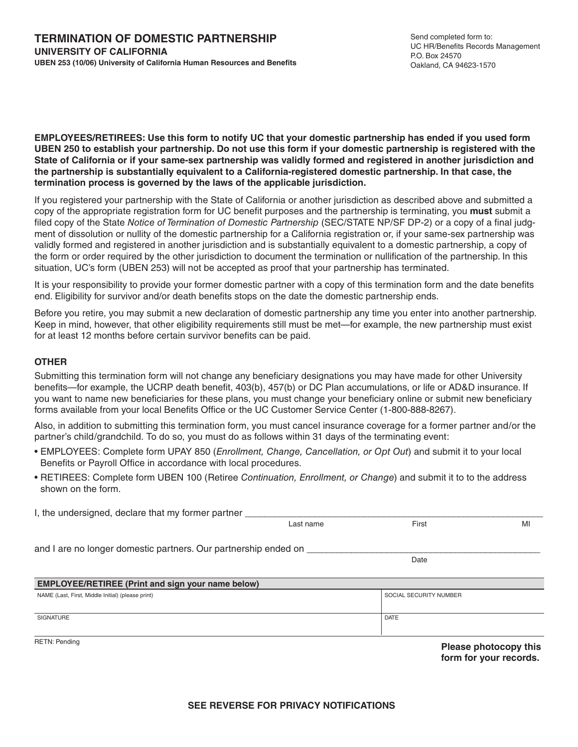**EMPLOYEES/RETIREES: Use this form to notify UC that your domestic partnership has ended if you used form UBEN 250 to establish your partnership. Do not use this form if your domestic partnership is registered with the State of California or if your same-sex partnership was validly formed and registered in another jurisdiction and the partnership is substantially equivalent to a California-registered domestic partnership. In that case, the termination process is governed by the laws of the applicable jurisdiction.**

If you registered your partnership with the State of California or another jurisdiction as described above and submitted a copy of the appropriate registration form for UC benefit purposes and the partnership is terminating, you **must** submit a filed copy of the State *Notice of Termination of Domestic Partnership* (SEC/STATE NP/SF DP-2) or a copy of a final judgment of dissolution or nullity of the domestic partnership for a California registration or, if your same-sex partnership was validly formed and registered in another jurisdiction and is substantially equivalent to a domestic partnership, a copy of the form or order required by the other jurisdiction to document the termination or nullification of the partnership. In this situation, UC's form (UBEN 253) will not be accepted as proof that your partnership has terminated.

It is your responsibility to provide your former domestic partner with a copy of this termination form and the date benefits end. Eligibility for survivor and/or death benefits stops on the date the domestic partnership ends.

Before you retire, you may submit a new declaration of domestic partnership any time you enter into another partnership. Keep in mind, however, that other eligibility requirements still must be met—for example, the new partnership must exist for at least 12 months before certain survivor benefits can be paid.

#### **OTHER**

Submitting this termination form will not change any beneficiary designations you may have made for other University benefits—for example, the UCRP death benefit, 403(b), 457(b) or DC Plan accumulations, or life or AD&D insurance. If you want to name new beneficiaries for these plans, you must change your beneficiary online or submit new beneficiary forms available from your local Benefits Office or the UC Customer Service Center (1-800-888-8267).

Also, in addition to submitting this termination form, you must cancel insurance coverage for a former partner and/or the partner's child/grandchild. To do so, you must do as follows within 31 days of the terminating event:

- EMPLOYEES: Complete form UPAY 850 (*Enrollment, Change, Cancellation, or Opt Out*) and submit it to your local Benefits or Payroll Office in accordance with local procedures.
- RETIREES: Complete form UBEN 100 (Retiree *Continuation, Enrollment, or Change*) and submit it to to the address shown on the form.

| I, the undersigned, declare that my former partner              |           |                        |                       |
|-----------------------------------------------------------------|-----------|------------------------|-----------------------|
|                                                                 | Last name | First                  | MI                    |
| and I are no longer domestic partners. Our partnership ended on |           |                        |                       |
|                                                                 |           | Date                   |                       |
| <b>EMPLOYEE/RETIREE (Print and sign your name below)</b>        |           |                        |                       |
| NAME (Last, First, Middle Initial) (please print)               |           | SOCIAL SECURITY NUMBER |                       |
| <b>SIGNATURE</b>                                                |           | <b>DATE</b>            |                       |
| <b>RETN: Pending</b>                                            |           | .                      | Please photocopy this |

**form for your records.**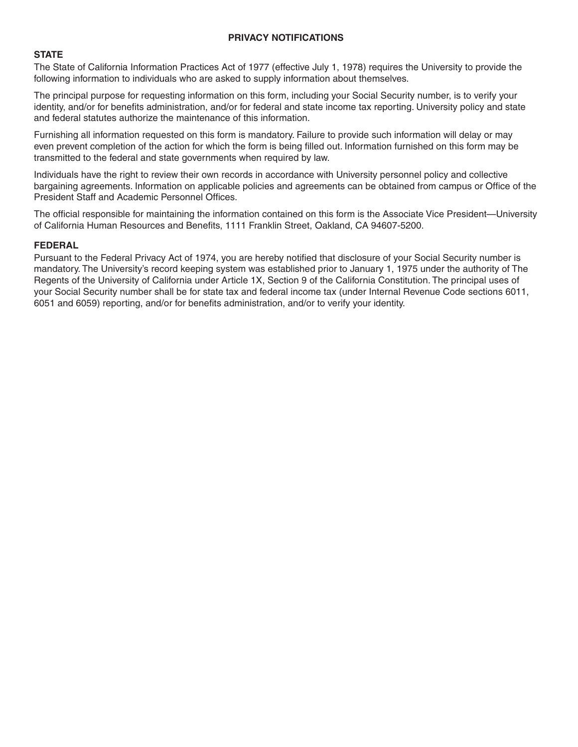#### **PRIVACY NOTIFICATIONS**

#### **STATE**

The State of California Information Practices Act of 1977 (effective July 1, 1978) requires the University to provide the following information to individuals who are asked to supply information about themselves.

The principal purpose for requesting information on this form, including your Social Security number, is to verify your identity, and/or for benefits administration, and/or for federal and state income tax reporting. University policy and state and federal statutes authorize the maintenance of this information.

Furnishing all information requested on this form is mandatory. Failure to provide such information will delay or may even prevent completion of the action for which the form is being filled out. Information furnished on this form may be transmitted to the federal and state governments when required by law.

Individuals have the right to review their own records in accordance with University personnel policy and collective bargaining agreements. Information on applicable policies and agreements can be obtained from campus or Office of the President Staff and Academic Personnel Offices.

The official responsible for maintaining the information contained on this form is the Associate Vice President—University of California Human Resources and Benefits, 1111 Franklin Street, Oakland, CA 94607-5200.

#### **FEDERAL**

Pursuant to the Federal Privacy Act of 1974, you are hereby notified that disclosure of your Social Security number is mandatory. The University's record keeping system was established prior to January 1, 1975 under the authority of The Regents of the University of California under Article 1X, Section 9 of the California Constitution. The principal uses of your Social Security number shall be for state tax and federal income tax (under Internal Revenue Code sections 6011, 6051 and 6059) reporting, and/or for benefits administration, and/or to verify your identity.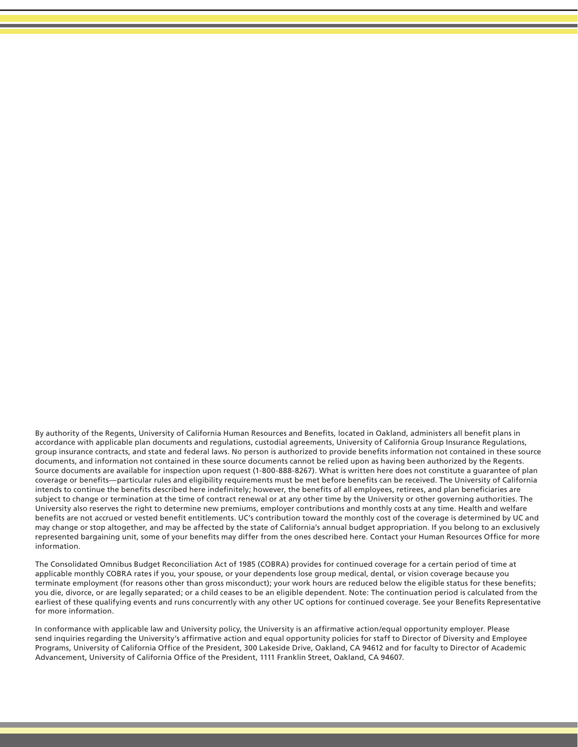By authority of the Regents, University of California Human Resources and Benefits, located in Oakland, administers all benefit plans in accordance with applicable plan documents and regulations, custodial agreements, University of California Group Insurance Regulations, group insurance contracts, and state and federal laws. No person is authorized to provide benefits information not contained in these source documents, and information not contained in these source documents cannot be relied upon as having been authorized by the Regents. Source documents are available for inspection upon request (1-800-888-8267). What is written here does not constitute a guarantee of plan coverage or benefits—particular rules and eligibility requirements must be met before benefits can be received. The University of California intends to continue the benefits described here indefinitely; however, the benefits of all employees, retirees, and plan beneficiaries are subject to change or termination at the time of contract renewal or at any other time by the University or other governing authorities. The University also reserves the right to determine new premiums, employer contributions and monthly costs at any time. Health and welfare benefits are not accrued or vested benefit entitlements. UC's contribution toward the monthly cost of the coverage is determined by UC and may change or stop altogether, and may be affected by the state of California's annual budget appropriation. If you belong to an exclusively represented bargaining unit, some of your benefits may differ from the ones described here. Contact your Human Resources Office for more information.

The Consolidated Omnibus Budget Reconciliation Act of 1985 (COBRA) provides for continued coverage for a certain period of time at applicable monthly COBRA rates if you, your spouse, or your dependents lose group medical, dental, or vision coverage because you terminate employment (for reasons other than gross misconduct); your work hours are reduced below the eligible status for these benefits; you die, divorce, or are legally separated; or a child ceases to be an eligible dependent. Note: The continuation period is calculated from the earliest of these qualifying events and runs concurrently with any other UC options for continued coverage. See your Benefits Representative for more information.

In conformance with applicable law and University policy, the University is an affirmative action/equal opportunity employer. Please send inquiries regarding the University's affirmative action and equal opportunity policies for staff to Director of Diversity and Employee Programs, University of California Office of the President, 300 Lakeside Drive, Oakland, CA 94612 and for faculty to Director of Academic Advancement, University of California Office of the President, 1111 Franklin Street, Oakland, CA 94607.